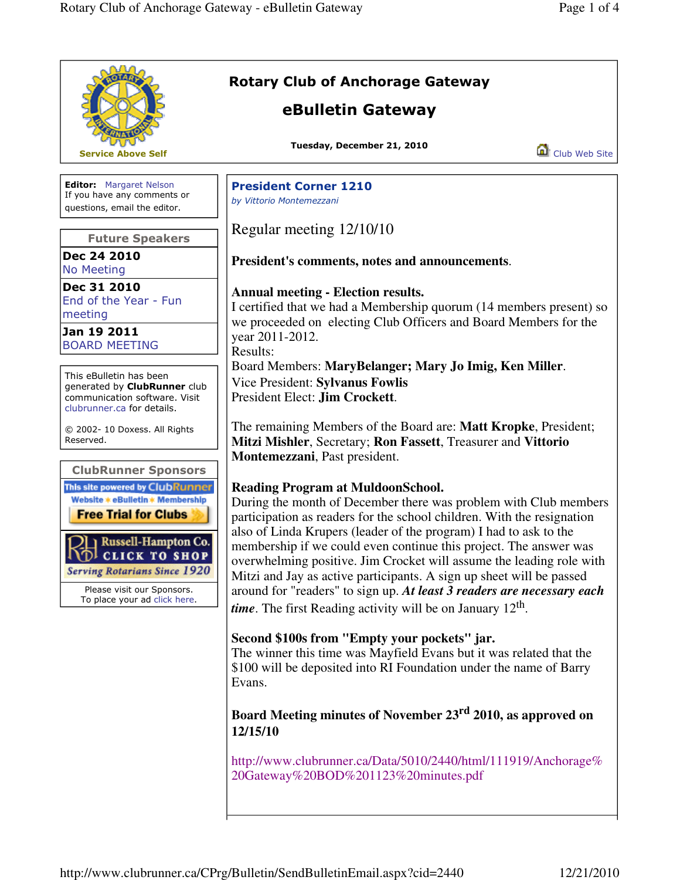|                                                                                                                                                                                                                                                                               | <b>Rotary Club of Anchorage Gateway</b>                                                                                                                                                                                                                                                                                                                                                                                                                                                                                                                                                                                            |
|-------------------------------------------------------------------------------------------------------------------------------------------------------------------------------------------------------------------------------------------------------------------------------|------------------------------------------------------------------------------------------------------------------------------------------------------------------------------------------------------------------------------------------------------------------------------------------------------------------------------------------------------------------------------------------------------------------------------------------------------------------------------------------------------------------------------------------------------------------------------------------------------------------------------------|
|                                                                                                                                                                                                                                                                               | eBulletin Gateway                                                                                                                                                                                                                                                                                                                                                                                                                                                                                                                                                                                                                  |
| <b>Service Above Self</b>                                                                                                                                                                                                                                                     | Tuesday, December 21, 2010<br>Club Web Site                                                                                                                                                                                                                                                                                                                                                                                                                                                                                                                                                                                        |
| <b>Editor:</b> Margaret Nelson<br>If you have any comments or<br>questions, email the editor.                                                                                                                                                                                 | <b>President Corner 1210</b><br>by Vittorio Montemezzani                                                                                                                                                                                                                                                                                                                                                                                                                                                                                                                                                                           |
| <b>Future Speakers</b>                                                                                                                                                                                                                                                        | Regular meeting 12/10/10                                                                                                                                                                                                                                                                                                                                                                                                                                                                                                                                                                                                           |
| Dec 24 2010<br><b>No Meeting</b>                                                                                                                                                                                                                                              | President's comments, notes and announcements.                                                                                                                                                                                                                                                                                                                                                                                                                                                                                                                                                                                     |
| Dec 31 2010<br>End of the Year - Fun<br>meeting<br>Jan 19 2011<br><b>BOARD MEETING</b>                                                                                                                                                                                        | <b>Annual meeting - Election results.</b><br>I certified that we had a Membership quorum (14 members present) so<br>we proceeded on electing Club Officers and Board Members for the<br>year 2011-2012.<br>Results:                                                                                                                                                                                                                                                                                                                                                                                                                |
| This eBulletin has been<br>generated by <b>ClubRunner</b> club<br>communication software. Visit<br>clubrunner.ca for details.                                                                                                                                                 | Board Members: MaryBelanger; Mary Jo Imig, Ken Miller.<br>Vice President: Sylvanus Fowlis<br>President Elect: Jim Crockett.                                                                                                                                                                                                                                                                                                                                                                                                                                                                                                        |
| © 2002- 10 Doxess. All Rights<br>Reserved.                                                                                                                                                                                                                                    | The remaining Members of the Board are: Matt Kropke, President;<br>Mitzi Mishler, Secretary; Ron Fassett, Treasurer and Vittorio<br>Montemezzani, Past president.                                                                                                                                                                                                                                                                                                                                                                                                                                                                  |
| <b>ClubRunner Sponsors</b><br>This site powered by ClubRunner<br>Website * eBulletin * Membership<br><b>Free Trial for Clubs</b><br>Russell-Hampton Co.<br>CLICK TO SHOP<br><b>Serving Rotarians Since 1920</b><br>Please visit our Sponsors.<br>To place your ad click here. | <b>Reading Program at MuldoonSchool.</b><br>During the month of December there was problem with Club members<br>participation as readers for the school children. With the resignation<br>also of Linda Krupers (leader of the program) I had to ask to the<br>membership if we could even continue this project. The answer was<br>overwhelming positive. Jim Crocket will assume the leading role with<br>Mitzi and Jay as active participants. A sign up sheet will be passed<br>around for "readers" to sign up. At least 3 readers are necessary each<br><i>time</i> . The first Reading activity will be on January $12th$ . |
|                                                                                                                                                                                                                                                                               | Second \$100s from "Empty your pockets" jar.<br>The winner this time was Mayfield Evans but it was related that the<br>\$100 will be deposited into RI Foundation under the name of Barry<br>Evans.                                                                                                                                                                                                                                                                                                                                                                                                                                |
|                                                                                                                                                                                                                                                                               | Board Meeting minutes of November 23 <sup>rd</sup> 2010, as approved on<br>12/15/10                                                                                                                                                                                                                                                                                                                                                                                                                                                                                                                                                |
|                                                                                                                                                                                                                                                                               | http://www.clubrunner.ca/Data/5010/2440/html/111919/Anchorage%<br>20Gateway%20BOD%201123%20minutes.pdf                                                                                                                                                                                                                                                                                                                                                                                                                                                                                                                             |
|                                                                                                                                                                                                                                                                               |                                                                                                                                                                                                                                                                                                                                                                                                                                                                                                                                                                                                                                    |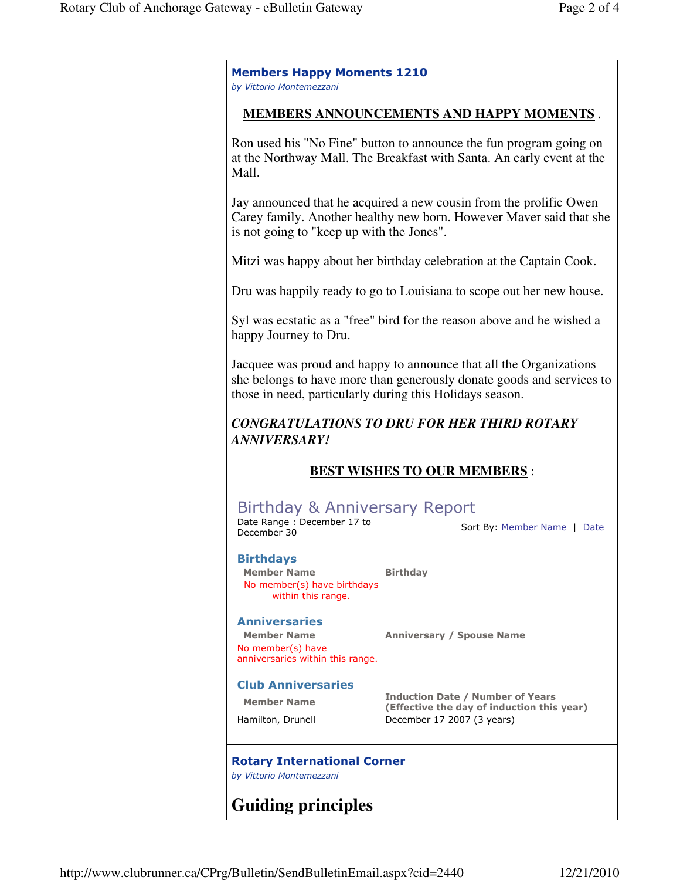#### Members Happy Moments 1210 by Vittorio Montemezzani

## **MEMBERS ANNOUNCEMENTS AND HAPPY MOMENTS** .

Ron used his "No Fine" button to announce the fun program going on at the Northway Mall. The Breakfast with Santa. An early event at the Mall.

Jay announced that he acquired a new cousin from the prolific Owen Carey family. Another healthy new born. However Maver said that she is not going to "keep up with the Jones".

Mitzi was happy about her birthday celebration at the Captain Cook.

Dru was happily ready to go to Louisiana to scope out her new house.

Syl was ecstatic as a "free" bird for the reason above and he wished a happy Journey to Dru.

Jacquee was proud and happy to announce that all the Organizations she belongs to have more than generously donate goods and services to those in need, particularly during this Holidays season.

# *CONGRATULATIONS TO DRU FOR HER THIRD ROTARY ANNIVERSARY!*

# **BEST WISHES TO OUR MEMBERS** :

# Birthday & Anniversary Report

Date Range : December 17 to Date Karlge : December 17 to<br>December 30 Sort By: Member Name | Date

#### Birthdays

Member Name Birthday No member(s) have birthdays within this range.

#### **Anniversaries**

No member(s) have anniversaries within this range.

Member Name Anniversary / Spouse Name

## Club Anniversaries

Member Name **Induction Date / Number of Years** (Effective the day of induction this year) Hamilton, Drunell December 17 2007 (3 years)

# Rotary International Corner

by Vittorio Montemezzani

# **Guiding principles**

http://www.clubrunner.ca/CPrg/Bulletin/SendBulletinEmail.aspx?cid=2440 12/21/2010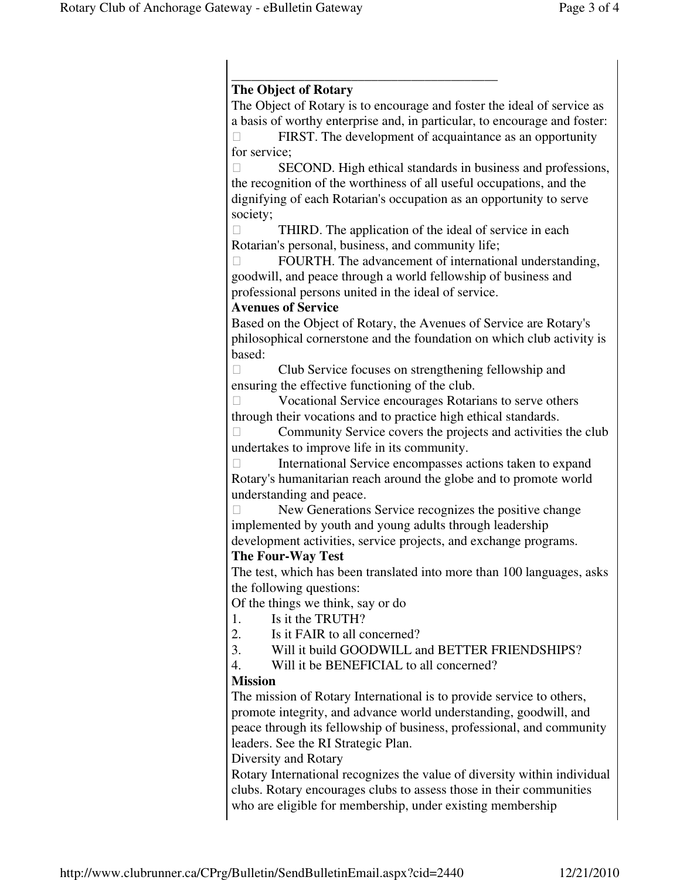## \_\_\_\_\_\_\_\_\_\_\_\_\_\_\_\_\_\_\_\_\_\_\_\_\_\_\_\_\_\_\_\_\_\_\_\_\_\_\_\_ **The Object of Rotary**

The Object of Rotary is to encourage and foster the ideal of service as a basis of worthy enterprise and, in particular, to encourage and foster:

 FIRST. The development of acquaintance as an opportunity for service;

 SECOND. High ethical standards in business and professions, the recognition of the worthiness of all useful occupations, and the dignifying of each Rotarian's occupation as an opportunity to serve society;

 THIRD. The application of the ideal of service in each Rotarian's personal, business, and community life;

 FOURTH. The advancement of international understanding, goodwill, and peace through a world fellowship of business and professional persons united in the ideal of service.

# **Avenues of Service**

Based on the Object of Rotary, the Avenues of Service are Rotary's philosophical cornerstone and the foundation on which club activity is based:

 Club Service focuses on strengthening fellowship and ensuring the effective functioning of the club.

 Vocational Service encourages Rotarians to serve others through their vocations and to practice high ethical standards.

 Community Service covers the projects and activities the club undertakes to improve life in its community.

 International Service encompasses actions taken to expand Rotary's humanitarian reach around the globe and to promote world understanding and peace.

 New Generations Service recognizes the positive change implemented by youth and young adults through leadership development activities, service projects, and exchange programs.

# **The Four-Way Test**

The test, which has been translated into more than 100 languages, asks the following questions:

Of the things we think, say or do

- 1. Is it the TRUTH?
- 2. Is it FAIR to all concerned?
- 3. Will it build GOODWILL and BETTER FRIENDSHIPS?
- 4. Will it be BENEFICIAL to all concerned?

# **Mission**

The mission of Rotary International is to provide service to others, promote integrity, and advance world understanding, goodwill, and peace through its fellowship of business, professional, and community leaders. See the RI Strategic Plan.

Diversity and Rotary

Rotary International recognizes the value of diversity within individual clubs. Rotary encourages clubs to assess those in their communities who are eligible for membership, under existing membership